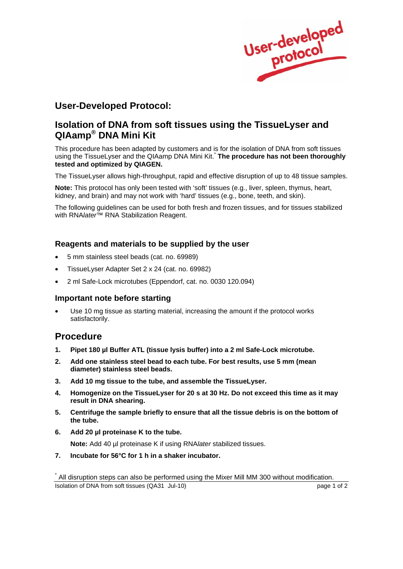

## **User-Developed Protocol:**

## **Isolation of DNA from soft tissues using the TissueLyser and QIAamp® DNA Mini Kit**

This procedure has been adapted by customers and is for the isolation of DNA from soft tissues using the TissueLyser and the QIAamp DNA Mini Kit.\* **The procedure has not been thoroughly tested and optimized by QIAGEN.** 

The TissueLyser allows high-throughput, rapid and effective disruption of up to 48 tissue samples.

**Note:** This protocol has only been tested with 'soft' tissues (e.g., liver, spleen, thymus, heart, kidney, and brain) and may not work with 'hard' tissues (e.g., bone, teeth, and skin).

The following guidelines can be used for both fresh and frozen tissues, and for tissues stabilized with RNA*later™* RNA Stabilization Reagent.

#### **Reagents and materials to be supplied by the user**

- 5 mm stainless steel beads (cat. no. 69989)
- TissueLyser Adapter Set 2 x 24 (cat. no. 69982)
- 2 ml Safe-Lock microtubes (Eppendorf, cat. no. 0030 120.094)

#### **Important note before starting**

Use 10 mg tissue as starting material, increasing the amount if the protocol works satisfactorily.

### **Procedure**

- **1. Pipet 180 µl Buffer ATL (tissue lysis buffer) into a 2 ml Safe-Lock microtube.**
- **2. Add one stainless steel bead to each tube. For best results, use 5 mm (mean diameter) stainless steel beads.**
- **3. Add 10 mg tissue to the tube, and assemble the TissueLyser.**
- **4. Homogenize on the TissueLyser for 20 s at 30 Hz. Do not exceed this time as it may result in DNA shearing.**
- **5. Centrifuge the sample briefly to ensure that all the tissue debris is on the bottom of the tube.**
- **6. Add 20 µl proteinase K to the tube.**

**Note:** Add 40 µl proteinase K if using RNA*later* stabilized tissues.

**7. Incubate for 56°C for 1 h in a shaker incubator.** 

Isolation of DNA from soft tissues (QA31 Jul-10) page 1 of 2 \* All disruption steps can also be performed using the Mixer Mill MM 300 without modification.